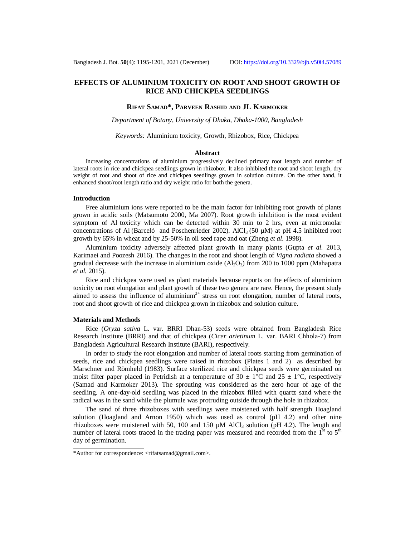# **EFFECTS OF ALUMINIUM TOXICITY ON ROOT AND SHOOT GROWTH OF RICE AND CHICKPEA SEEDLINGS**

### **RIFAT SAMAD\*, PARVEEN RASHID AND JL KARMOKER**

*Department of Botany, University of Dhaka, Dhaka-1000, Bangladesh*

*Keywords:* Aluminium toxicity, Growth, Rhizobox, Rice, Chickpea

#### **Abstract**

Increasing concentrations of aluminium progressively declined primary root length and number of lateral roots in rice and chickpea seedlings grown in rhizobox. It also inhibited the root and shoot length, dry weight of root and shoot of rice and chickpea seedlings grown in solution culture. On the other hand, it enhanced shoot/root length ratio and dry weight ratio for both the genera.

#### **Introduction**

Free aluminium ions were reported to be the main factor for inhibiting root growth of plants grown in acidic soils (Matsumoto 2000, Ma 2007). Root growth inhibition is the most evident symptom of Al toxicity which can be detected within 30 min to 2 hrs, even at micromolar concentrations of Al (Barceló and Poschenrieder 2002). AlCl<sub>3</sub> (50  $\mu$ M) at pH 4.5 inhibited root growth by 65% in wheat and by 25-50% in oil seed rape and oat (Zheng *et al*. 1998).

Aluminium toxicity adversely affected plant growth in many plants (Gupta *et al.* 2013, Karimaei and Poozesh 2016). The changes in the root and shoot length of *Vigna radiata* showed a gradual decrease with the increase in aluminium oxide  $(A<sub>1</sub>O<sub>3</sub>)$  from 200 to 1000 ppm (Mahapatra *et al.* 2015).

Rice and chickpea were used as plant materials because reports on the effects of aluminium toxicity on root elongation and plant growth of these two genera are rare. Hence, the present study aimed to assess the influence of aluminium<sup>3+</sup> stress on root elongation, number of lateral roots, root and shoot growth of rice and chickpea grown in rhizobox and solution culture.

#### **Materials and Methods**

Rice (*Oryza sativa* L. var. BRRI Dhan-53) seeds were obtained from Bangladesh Rice Research Institute (BRRI) and that of chickpea (*Cicer arietinum* L. var. BARI Chhola-7) from Bangladesh Agricultural Research Institute (BARI), respectively.

In order to study the root elongation and number of lateral roots starting from germination of seeds, rice and chickpea seedlings were raised in rhizobox (Plates 1 and 2) as described by Marschner and Römheld (1983). Surface sterilized rice and chickpea seeds were germinated on moist filter paper placed in Petridish at a temperature of 30  $\pm$  1°C and 25  $\pm$  1°C, respectively (Samad and Karmoker 2013). The sprouting was considered as the zero hour of age of the seedling. A one-day-old seedling was placed in the rhizobox filled with quartz sand where the radical was in the sand while the plumule was protruding outside through the hole in rhizobox.

The sand of three rhizoboxes with seedlings were moistened with half strength Hoagland solution (Hoagland and Arnon 1950) which was used as control (pH 4.2) and other nine rhizoboxes were moistened with 50, 100 and 150  $\mu$ M AlCl<sub>3</sub> solution (pH 4.2). The length and number of lateral roots traced in the tracing paper was measured and recorded from the  $1<sup>st</sup>$  to  $5<sup>th</sup>$ day of germination.

<sup>\*</sup>Author for correspondence: [<rifatsamad@gmail.com>](mailto:rifatsamad@gmail.com).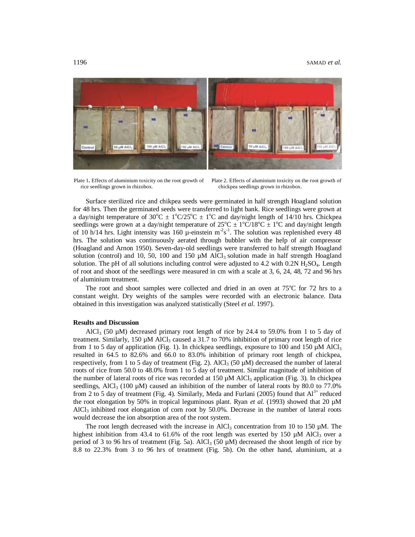#### 1196 SAMAD *et al.*



rice seedlings grown in rhizobox.

Plate 1. Effects of aluminium toxicity on the root growth of Plate 2. Effects of aluminium toxicity on the root growth of chickpea seedlings grown in rhizobox.

Surface sterilized rice and chikpea seeds were germinated in half strength Hoagland solution for 48 hrs. Then the germinated seeds were transferred to light bank. Rice seedlings were grown at a day/night temperature of  $30^{\circ}\text{C} \pm 1^{\circ}\text{C}/25^{\circ}\text{C} \pm 1^{\circ}\text{C}$  and day/night length of 14/10 hrs. Chickpea seedlings were grown at a day/night temperature of  $25^{\circ}\text{C} \pm 1^{\circ}\text{C}/18^{\circ}\text{C} \pm 1^{\circ}\text{C}$  and day/night length of 10 h/14 hrs. Light intensity was 160  $\mu$ -einstein m<sup>-2</sup>s<sup>-1</sup>. The solution was replenished every 48 hrs. The solution was continuously aerated through bubbler with the help of air compressor (Hoagland and Arnon 1950). Seven-day-old seedlings were transferred to half strength Hoagland solution (control) and 10, 50, 100 and 150  $\mu$ M AlCl<sub>3</sub> solution made in half strength Hoagland solution. The pH of all solutions including control were adjusted to  $4.2$  with  $0.2N H<sub>2</sub>SO<sub>4</sub>$ . Length of root and shoot of the seedlings were measured in cm with a scale at 3, 6, 24, 48, 72 and 96 hrs of aluminium treatment.

The root and shoot samples were collected and dried in an oven at  $75^{\circ}$ C for 72 hrs to a constant weight. Dry weights of the samples were recorded with an electronic balance. Data obtained in this investigation was analyzed statistically (Steel *et al*. 1997).

### **Results and Discussion**

AlCl<sub>3</sub> (50  $\mu$ M) decreased primary root length of rice by 24.4 to 59.0% from 1 to 5 day of treatment. Similarly, 150  $\mu$ M AlCl<sub>3</sub> caused a 31.7 to 70% inhibition of primary root length of rice from 1 to 5 day of application (Fig. 1). In chickpea seedlings, exposure to 100 and 150  $\mu$ M AlCl<sub>3</sub> resulted in 64.5 to 82.6% and 66.0 to 83.0% inhibition of primary root length of chickpea, respectively, from 1 to 5 day of treatment (Fig. 2). AlCl<sub>3</sub> (50  $\mu$ M) decreased the number of lateral roots of rice from 50.0 to 48.0% from 1 to 5 day of treatment. Similar magnitude of inhibition of the number of lateral roots of rice was recorded at 150 µM AlCl<sub>3</sub> application (Fig. 3). In chickpea seedlings, AlCl<sub>3</sub> (100  $\mu$ M) caused an inhibition of the number of lateral roots by 80.0 to 77.0% from 2 to 5 day of treatment (Fig. 4). Similarly, Meda and Furlani (2005) found that  $Al^{3+}$  reduced the root elongation by 50% in tropical leguminous plant. Ryan *et al.* (1993) showed that 20  $\mu$ M  $AICI<sub>3</sub>$  inhibited root elongation of corn root by 50.0%. Decrease in the number of lateral roots would decrease the ion absorption area of the root system.

The root length decreased with the increase in AlCl<sub>3</sub> concentration from 10 to 150  $\mu$ M. The highest inhibition from 43.4 to 61.6% of the root length was exerted by 150  $\mu$ M AlCl<sub>3</sub> over a period of 3 to 96 hrs of treatment (Fig. 5a). AlCl<sub>3</sub> (50  $\mu$ M) decreased the shoot length of rice by 8.8 to 22.3% from 3 to 96 hrs of treatment (Fig. 5b). On the other hand, aluminium, at a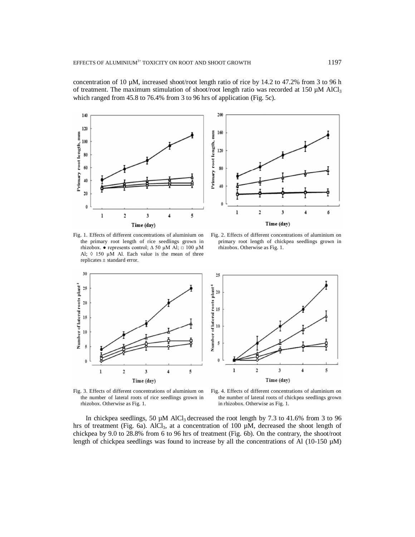concentration of 10  $\mu$ M, increased shoot/root length ratio of rice by 14.2 to 47.2% from 3 to 96 h of treatment. The maximum stimulation of shoot/root length ratio was recorded at 150  $\mu$ M AlCl<sub>3</sub> which ranged from 45.8 to 76.4% from 3 to 96 hrs of application (Fig. 5c).



200 160 Primary root length, mm  $120$ 80 40  $\theta$  $\bf{l}$ 2 3 6 Time (day)

Fig. 1. Effects of different concentrations of aluminium on the primary root length of rice seedlings grown in rhizobox. ● represents control; ∆ 50 µM Al; □ 100 µM Al;  $0.150 \mu M$  Al. Each value is the mean of three replicates ± standard error.

30

25

 $20$ 

15

10

 $\mathfrak s$ 

 $\theta$ 

 $\bf{l}$ 

Number of lateral roots plant<sup>1</sup>

Fig. 2. Effects of different concentrations of aluminium on primary root length of chickpea seedlings grown in rhizobox. Otherwise as Fig. 1.



Fig. 3. Effects of different concentrations of aluminium on the number of lateral roots of rice seedlings grown in rhizobox. Otherwise as Fig. 1.

 $\overline{\mathbf{3}}$ 

Time (day)

4

 $\overline{2}$ 

Fig. 4. Effects of different concentrations of aluminium on the number of lateral roots of chickpea seedlings grown in rhizobox. Otherwise as Fig. 1.

In chickpea seedlings, 50  $\mu$ M AlCl<sub>3</sub> decreased the root length by 7.3 to 41.6% from 3 to 96 hrs of treatment (Fig. 6a). AlCl<sub>3</sub>, at a concentration of 100  $\mu$ M, decreased the shoot length of chickpea by 9.0 to 28.8% from 6 to 96 hrs of treatment (Fig. 6b). On the contrary, the shoot/root length of chickpea seedlings was found to increase by all the concentrations of Al (10-150  $\mu$ M)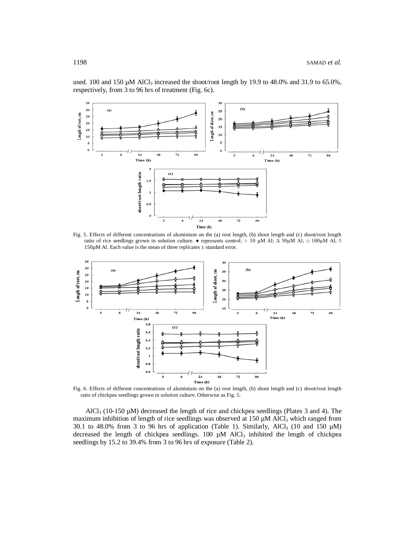

used. 100 and 150  $\mu$ M AlCl<sub>3</sub> increased the shoot/root length by 19.9 to 48.0% and 31.9 to 65.0%, respectively, from 3 to 96 hrs of treatment (Fig. 6c).

Fig. 5. Effects of different concentrations of aluminium on the (a) root length, (b) shoot length and (c) shoot/root length ratio of rice seedlings grown in solution culture.  $\bullet$  represents control;  $\circ$  10 µM Al;  $\Delta$  50µM Al;  $\Box$  100µM Al;  $\Diamond$  $150\mu$ M Al. Each value is the mean of three replicates  $\pm$  standard error.



Fig. 6. Effects of different concentrations of aluminium on the (a) root length, (b) shoot length and (c) shoot/root length ratio of chickpea seedlings grown in solution culture. Otherwise as Fig. 5.

AlCl<sub>3</sub> (10-150  $\mu$ M) decreased the length of rice and chickpea seedlings (Plates 3 and 4). The maximum inhibition of length of rice seedlings was observed at 150  $\mu$ M AlCl<sub>3</sub> which ranged from 30.1 to 48.0% from 3 to 96 hrs of application (Table 1). Similarly, AlCl<sub>3</sub> (10 and 150  $\mu$ M) decreased the length of chickpea seedlings.  $100 \mu M$  AlCl<sub>3</sub> inhibited the length of chickpea seedlings by 15.2 to 39.4% from 3 to 96 hrs of exposure (Table 2).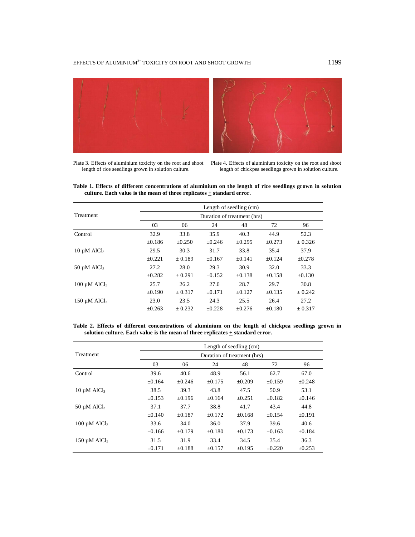



Plate 3. Effects of aluminium toxicity on the root and shoot length of rice seedlings grown in solution culture.

Plate 4. Effects of aluminium toxicity on the root and shoot length of chickpea seedlings grown in solution culture.

**Table 1. Effects of different concentrations of aluminium on the length of rice seedlings grown in solution culture. Each value is the mean of three replicates + standard error.**

|                               | Length of seedling (cm)<br>Duration of treatment (hrs) |             |             |             |             |             |  |  |  |
|-------------------------------|--------------------------------------------------------|-------------|-------------|-------------|-------------|-------------|--|--|--|
| Treatment                     |                                                        |             |             |             |             |             |  |  |  |
|                               | 03                                                     | 06          | 24          | 48          | 72          | 96          |  |  |  |
| Control                       | 32.9                                                   | 33.8        | 35.9        | 40.3        | 44.9        | 52.3        |  |  |  |
|                               | ±0.186                                                 | $\pm 0.250$ | $+0.246$    | $\pm 0.295$ | $\pm 0.273$ | ± 0.326     |  |  |  |
| $10 \mu M$ AlCl <sub>3</sub>  | 29.5                                                   | 30.3        | 31.7        | 33.8        | 35.4        | 37.9        |  |  |  |
|                               | $+0.221$                                               | $+0.189$    | $\pm 0.167$ | ±0.141      | $+0.124$    | $\pm 0.278$ |  |  |  |
| $50 \mu M$ AlCl <sub>3</sub>  | 27.2                                                   | 28.0        | 29.3        | 30.9        | 32.0        | 33.3        |  |  |  |
|                               | $\pm 0.282$                                            | $+0.291$    | $\pm 0.152$ | $\pm 0.138$ | $\pm 0.158$ | $\pm 0.130$ |  |  |  |
| $100 \mu M$ AlCl <sub>3</sub> | 25.7                                                   | 26.2        | 27.0        | 28.7        | 29.7        | 30.8        |  |  |  |
|                               | $\pm 0.190$                                            | ± 0.317     | ±0.171      | $+0.127$    | $\pm 0.135$ | $+0.242$    |  |  |  |
| $150 \mu M$ AlCl <sub>3</sub> | 23.0                                                   | 23.5        | 24.3        | 25.5        | 26.4        | 27.2        |  |  |  |
|                               | $\pm 0.263$                                            | ± 0.232     | $\pm 0.228$ | $+0.276$    | $\pm 0.180$ | ± 0.317     |  |  |  |

**Table 2. Effects of different concentrations of aluminium on the length of chickpea seedlings grown in**  solution culture. Each value is the mean of three replicates  $+$  standard error.

|                               | Length of seedling (cm)     |          |             |             |             |             |  |  |  |
|-------------------------------|-----------------------------|----------|-------------|-------------|-------------|-------------|--|--|--|
| Treatment                     | Duration of treatment (hrs) |          |             |             |             |             |  |  |  |
|                               | 03                          | 06       | 24          | 48          | 72          | 96          |  |  |  |
| Control                       | 39.6                        | 40.6     | 48.9        | 56.1        | 62.7        | 67.0        |  |  |  |
|                               | $\pm 0.164$                 | $+0.246$ | $\pm 0.175$ | $\pm 0.209$ | $\pm 0.159$ | $\pm 0.248$ |  |  |  |
| $10 \mu M$ AlCl <sub>3</sub>  | 38.5                        | 39.3     | 43.8        | 47.5        | 50.9        | 53.1        |  |  |  |
|                               | $+0.153$                    | $+0.196$ | $+0.164$    | $+0.251$    | $+0.182$    | $+0.146$    |  |  |  |
| $50 \mu M$ AlCl <sub>3</sub>  | 37.1                        | 37.7     | 38.8        | 41.7        | 43.4        | 44.8        |  |  |  |
|                               | $\pm 0.140$                 | $+0.187$ | $+0.172$    | $+0.168$    | $\pm 0.154$ | ±0.191      |  |  |  |
| $100 \mu M$ AlCl <sub>3</sub> | 33.6                        | 34.0     | 36.0        | 37.9        | 39.6        | 40.6        |  |  |  |
|                               | $\pm 0.166$                 | $+0.179$ | $\pm 0.180$ | $+0.173$    | $\pm 0.163$ | $\pm 0.184$ |  |  |  |
| $150 \mu M$ AlCl <sub>3</sub> | 31.5                        | 31.9     | 33.4        | 34.5        | 35.4        | 36.3        |  |  |  |
|                               | ±0.171                      | $+0.188$ | $\pm 0.157$ | $+0.195$    | $+0.220$    | $\pm 0.253$ |  |  |  |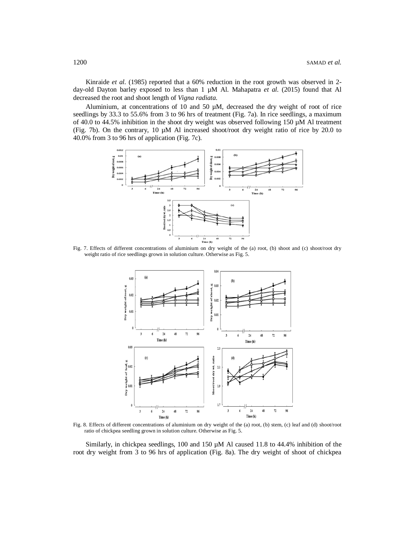Kinraide *et al.* (1985) reported that a 60% reduction in the root growth was observed in 2day-old Dayton barley exposed to less than 1  $\mu$ M Al. Mahapatra et al. (2015) found that Al decreased the root and shoot length of *Vigna radiata*.

Aluminium, at concentrations of 10 and 50  $\mu$ M, decreased the dry weight of root of rice seedlings by 33.3 to 55.6% from 3 to 96 hrs of treatment (Fig. 7a). In rice seedlings, a maximum of 40.0 to 44.5% inhibition in the shoot dry weight was observed following 150  $\mu$ M Al treatment (Fig. 7b). On the contrary, 10 µM Al increased shoot/root dry weight ratio of rice by 20.0 to 40.0% from 3 to 96 hrs of application (Fig. 7c).



Fig. 7. Effects of different concentrations of aluminium on dry weight of the (a) root, (b) shoot and (c) shoot/root dry weight ratio of rice seedlings grown in solution culture. Otherwise as Fig. 5.



Fig. 8. Effects of different concentrations of aluminium on dry weight of the (a) root, (b) stem, (c) leaf and (d) shoot/root ratio of chickpea seedling grown in solution culture. Otherwise as Fig. 5.

Similarly, in chickpea seedlings, 100 and 150  $\mu$ M Al caused 11.8 to 44.4% inhibition of the root dry weight from 3 to 96 hrs of application (Fig. 8a). The dry weight of shoot of chickpea